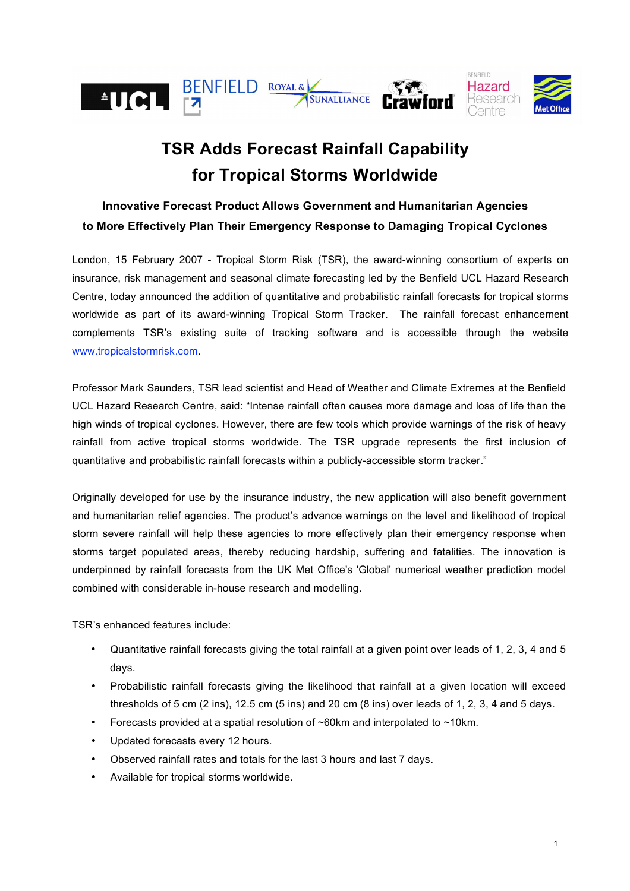

# **TSR Adds Forecast Rainfall Capability for Tropical Storms Worldwide**

## **Innovative Forecast Product Allows Government and Humanitarian Agencies to More Effectively Plan Their Emergency Response to Damaging Tropical Cyclones**

London, 15 February 2007 - Tropical Storm Risk (TSR), the award-winning consortium of experts on insurance, risk management and seasonal climate forecasting led by the Benfield UCL Hazard Research Centre, today announced the addition of quantitative and probabilistic rainfall forecasts for tropical storms worldwide as part of its award-winning Tropical Storm Tracker. The rainfall forecast enhancement complements TSR's existing suite of tracking software and is accessible through the website www.tropicalstormrisk.com.

Professor Mark Saunders, TSR lead scientist and Head of Weather and Climate Extremes at the Benfield UCL Hazard Research Centre, said: "Intense rainfall often causes more damage and loss of life than the high winds of tropical cyclones. However, there are few tools which provide warnings of the risk of heavy rainfall from active tropical storms worldwide. The TSR upgrade represents the first inclusion of quantitative and probabilistic rainfall forecasts within a publicly-accessible storm tracker."

Originally developed for use by the insurance industry, the new application will also benefit government and humanitarian relief agencies. The product's advance warnings on the level and likelihood of tropical storm severe rainfall will help these agencies to more effectively plan their emergency response when storms target populated areas, thereby reducing hardship, suffering and fatalities. The innovation is underpinned by rainfall forecasts from the UK Met Office's 'Global' numerical weather prediction model combined with considerable in-house research and modelling.

TSR's enhanced features include:

- Quantitative rainfall forecasts giving the total rainfall at a given point over leads of 1, 2, 3, 4 and 5 days.
- Probabilistic rainfall forecasts giving the likelihood that rainfall at a given location will exceed thresholds of 5 cm  $(2 \text{ ins})$ , 12.5 cm  $(5 \text{ ins})$  and 20 cm  $(8 \text{ ins})$  over leads of 1, 2, 3, 4 and 5 days.
- Forecasts provided at a spatial resolution of ~60km and interpolated to ~10km.
- Updated forecasts every 12 hours.
- Observed rainfall rates and totals for the last 3 hours and last 7 days.
- Available for tropical storms worldwide.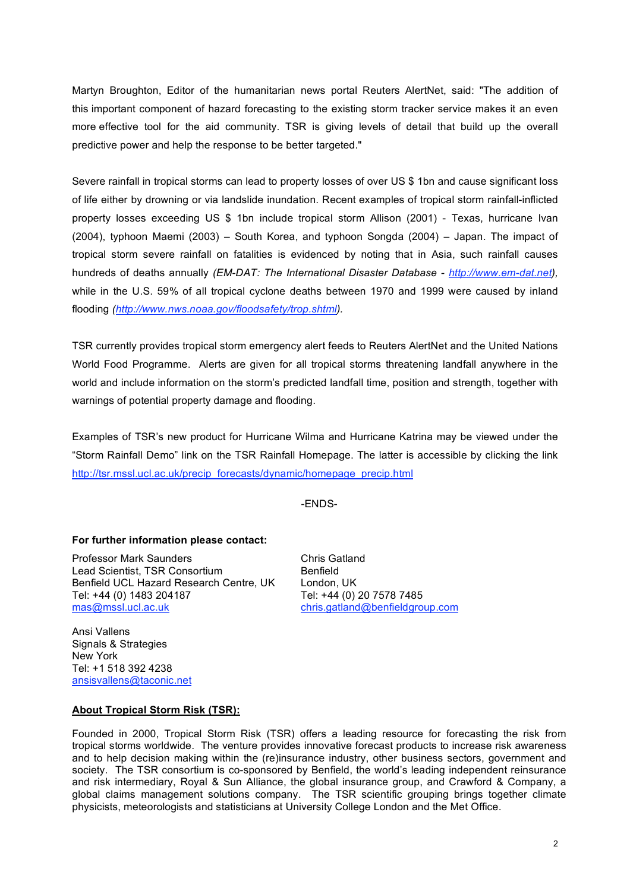Martyn Broughton, Editor of the humanitarian news portal Reuters AlertNet, said: "The addition of this important component of hazard forecasting to the existing storm tracker service makes it an even more effective tool for the aid community. TSR is giving levels of detail that build up the overall predictive power and help the response to be better targeted."

Severe rainfall in tropical storms can lead to property losses of over US \$ 1bn and cause significant loss of life either by drowning or via landslide inundation. Recent examples of tropical storm rainfall-inflicted property losses exceeding US \$ 1bn include tropical storm Allison (2001) - Texas, hurricane Ivan (2004), typhoon Maemi (2003) – South Korea, and typhoon Songda (2004) – Japan. The impact of tropical storm severe rainfall on fatalities is evidenced by noting that in Asia, such rainfall causes hundreds of deaths annually *(EM-DAT: The International Disaster Database - http://www.em-dat.net),* while in the U.S. 59% of all tropical cyclone deaths between 1970 and 1999 were caused by inland flooding *(http://www.nws.noaa.gov/floodsafety/trop.shtml).*

TSR currently provides tropical storm emergency alert feeds to Reuters AlertNet and the United Nations World Food Programme. Alerts are given for all tropical storms threatening landfall anywhere in the world and include information on the storm's predicted landfall time, position and strength, together with warnings of potential property damage and flooding.

Examples of TSR's new product for Hurricane Wilma and Hurricane Katrina may be viewed under the "Storm Rainfall Demo" link on the TSR Rainfall Homepage. The latter is accessible by clicking the link http://tsr.mssl.ucl.ac.uk/precip\_forecasts/dynamic/homepage\_precip.html

-ENDS-

global claims management solutions company. The TSR scientific grouping brings together climate

physicists, meteorologists and statisticians at University College London and the Met Office.

#### **For further information please contact:**

Professor Mark Saunders Chris Gatland Lead Scientist, TSR Consortium Benfield Benfield UCL Hazard Research Centre, UK London, UK<br>Tel: +44 (0) 1483 204187 Tel: +44 (0) 2 Tel: +44 (0) 1483 204187 Tel: +44 (0) 20 7578 7485<br>mas@mssl.ucl.ac.uk chris.gatland@benfieldgro

chris.gatland@benfieldgroup.com

Ansi Vallens Signals & Strategies New York Tel: +1 518 392 4238 ansisvallens@taconic.net

**About Tropical Storm Risk (TSR):**

#### Founded in 2000, Tropical Storm Risk (TSR) offers a leading resource for forecasting the risk from tropical storms worldwide. The venture provides innovative forecast products to increase risk awareness and to help decision making within the (re)insurance industry, other business sectors, government and society. The TSR consortium is co-sponsored by Benfield, the world's leading independent reinsurance and risk intermediary, Royal & Sun Alliance, the global insurance group, and Crawford & Company, a